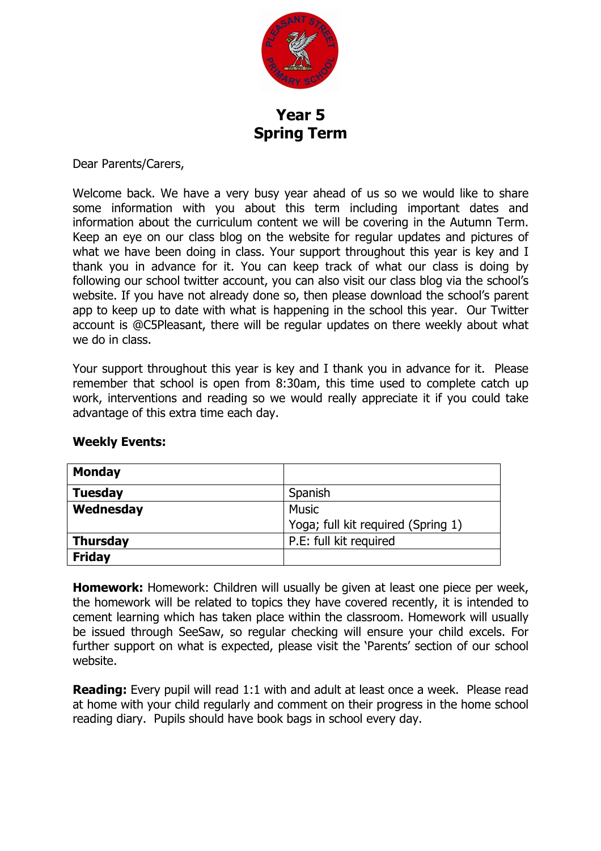

**Year 5 Spring Term**

Dear Parents/Carers,

Welcome back. We have a very busy year ahead of us so we would like to share some information with you about this term including important dates and information about the curriculum content we will be covering in the Autumn Term. Keep an eye on our class blog on the website for regular updates and pictures of what we have been doing in class. Your support throughout this year is key and I thank you in advance for it. You can keep track of what our class is doing by following our school twitter account, you can also visit our class blog via the school's website. If you have not already done so, then please download the school's parent app to keep up to date with what is happening in the school this year. Our Twitter account is @C5Pleasant, there will be regular updates on there weekly about what we do in class.

Your support throughout this year is key and I thank you in advance for it. Please remember that school is open from 8:30am, this time used to complete catch up work, interventions and reading so we would really appreciate it if you could take advantage of this extra time each day.

| <b>Monday</b>   |                                    |  |
|-----------------|------------------------------------|--|
| <b>Tuesday</b>  | Spanish                            |  |
| Wednesday       | <b>Music</b>                       |  |
|                 | Yoga; full kit required (Spring 1) |  |
| <b>Thursday</b> | P.E: full kit required             |  |
| <b>Friday</b>   |                                    |  |

## **Weekly Events:**

**Homework:** Homework: Children will usually be given at least one piece per week, the homework will be related to topics they have covered recently, it is intended to cement learning which has taken place within the classroom. Homework will usually be issued through SeeSaw, so regular checking will ensure your child excels. For further support on what is expected, please visit the 'Parents' section of our school website.

**Reading:** Every pupil will read 1:1 with and adult at least once a week. Please read at home with your child regularly and comment on their progress in the home school reading diary. Pupils should have book bags in school every day.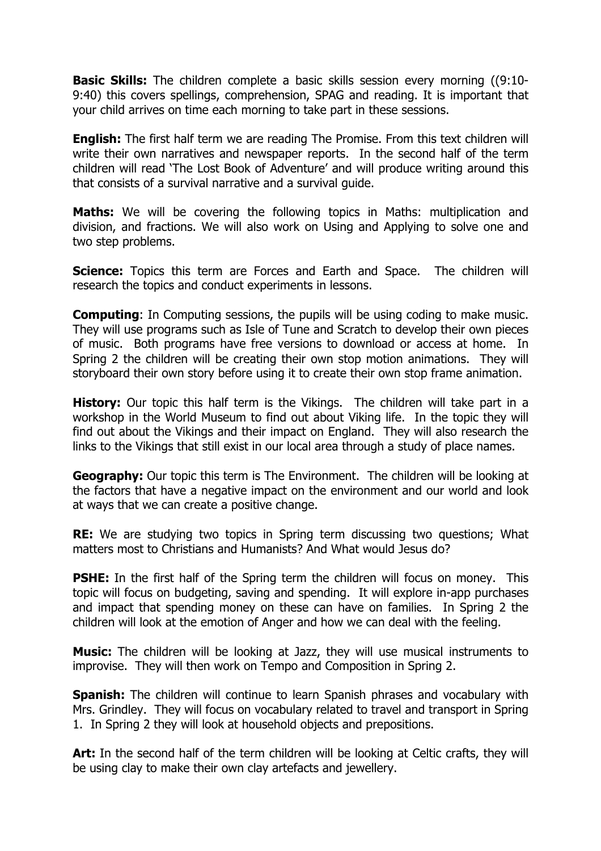**Basic Skills:** The children complete a basic skills session every morning ((9:10- 9:40) this covers spellings, comprehension, SPAG and reading. It is important that your child arrives on time each morning to take part in these sessions.

**English:** The first half term we are reading The Promise. From this text children will write their own narratives and newspaper reports. In the second half of the term children will read 'The Lost Book of Adventure' and will produce writing around this that consists of a survival narrative and a survival guide.

**Maths:** We will be covering the following topics in Maths: multiplication and division, and fractions. We will also work on Using and Applying to solve one and two step problems.

**Science:** Topics this term are Forces and Earth and Space. The children will research the topics and conduct experiments in lessons.

**Computing:** In Computing sessions, the pupils will be using coding to make music. They will use programs such as Isle of Tune and Scratch to develop their own pieces of music. Both programs have free versions to download or access at home. In Spring 2 the children will be creating their own stop motion animations. They will storyboard their own story before using it to create their own stop frame animation.

**History:** Our topic this half term is the Vikings. The children will take part in a workshop in the World Museum to find out about Viking life. In the topic they will find out about the Vikings and their impact on England. They will also research the links to the Vikings that still exist in our local area through a study of place names.

**Geography:** Our topic this term is The Environment. The children will be looking at the factors that have a negative impact on the environment and our world and look at ways that we can create a positive change.

**RE:** We are studying two topics in Spring term discussing two questions; What matters most to Christians and Humanists? And What would Jesus do?

**PSHE:** In the first half of the Spring term the children will focus on money. This topic will focus on budgeting, saving and spending. It will explore in-app purchases and impact that spending money on these can have on families. In Spring 2 the children will look at the emotion of Anger and how we can deal with the feeling.

**Music:** The children will be looking at Jazz, they will use musical instruments to improvise. They will then work on Tempo and Composition in Spring 2.

**Spanish:** The children will continue to learn Spanish phrases and vocabulary with Mrs. Grindley. They will focus on vocabulary related to travel and transport in Spring 1. In Spring 2 they will look at household objects and prepositions.

**Art:** In the second half of the term children will be looking at Celtic crafts, they will be using clay to make their own clay artefacts and jewellery.